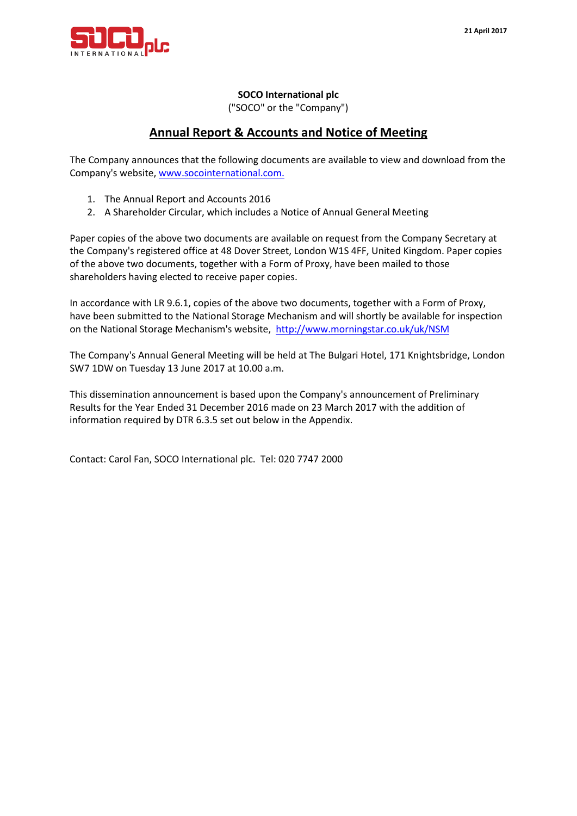

### **SOCO International plc**

("SOCO" or the "Company")

## **Annual Report & Accounts and Notice of Meeting**

The Company announces that the following documents are available to view and download from the Company's website, [www.socointernational.com.](http://www.socointernational.com/)

- 1. The Annual Report and Accounts 2016
- 2. A Shareholder Circular, which includes a Notice of Annual General Meeting

Paper copies of the above two documents are available on request from the Company Secretary at the Company's registered office at 48 Dover Street, London W1S 4FF, United Kingdom. Paper copies of the above two documents, together with a Form of Proxy, have been mailed to those shareholders having elected to receive paper copies.

In accordance with LR 9.6.1, copies of the above two documents, together with a Form of Proxy, have been submitted to the National Storage Mechanism and will shortly be available for inspection on the National Storage Mechanism's website,<http://www.morningstar.co.uk/uk/NSM>

The Company's Annual General Meeting will be held at The Bulgari Hotel, 171 Knightsbridge, London SW7 1DW on Tuesday 13 June 2017 at 10.00 a.m.

This dissemination announcement is based upon the Company's announcement of Preliminary Results for the Year Ended 31 December 2016 made on 23 March 2017 with the addition of information required by DTR 6.3.5 set out below in the Appendix.

Contact: Carol Fan, SOCO International plc. Tel: 020 7747 2000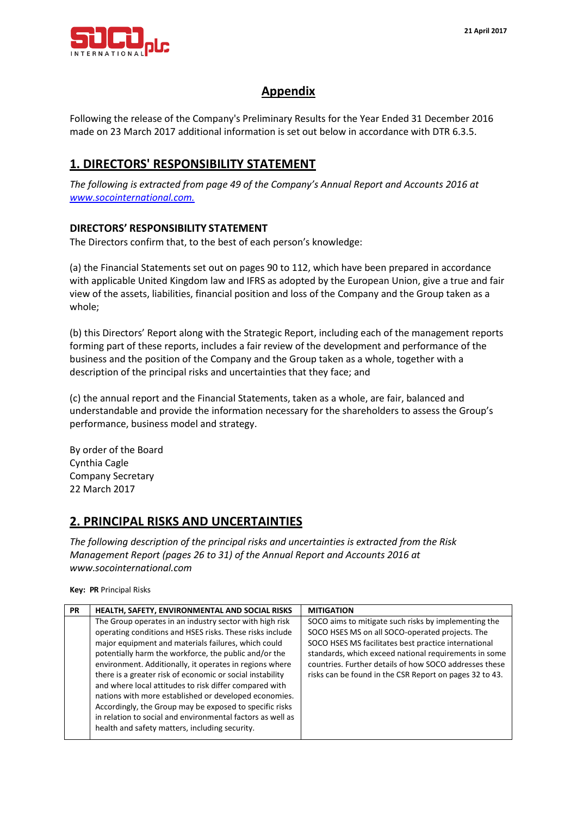

# **Appendix**

Following the release of the Company's Preliminary Results for the Year Ended 31 December 2016 made on 23 March 2017 additional information is set out below in accordance with DTR 6.3.5.

# **1. DIRECTORS' RESPONSIBILITY STATEMENT**

*The following is extracted from page 49 of the Company's Annual Report and Accounts 2016 at [www.socointernational.com.](http://www.socointernational.com/)*

### **DIRECTORS' RESPONSIBILITY STATEMENT**

The Directors confirm that, to the best of each person's knowledge:

(a) the Financial Statements set out on pages 90 to 112, which have been prepared in accordance with applicable United Kingdom law and IFRS as adopted by the European Union, give a true and fair view of the assets, liabilities, financial position and loss of the Company and the Group taken as a whole;

(b) this Directors' Report along with the Strategic Report, including each of the management reports forming part of these reports, includes a fair review of the development and performance of the business and the position of the Company and the Group taken as a whole, together with a description of the principal risks and uncertainties that they face; and

(c) the annual report and the Financial Statements, taken as a whole, are fair, balanced and understandable and provide the information necessary for the shareholders to assess the Group's performance, business model and strategy.

By order of the Board Cynthia Cagle Company Secretary 22 March 2017

## **2. PRINCIPAL RISKS AND UNCERTAINTIES**

*The following description of the principal risks and uncertainties is extracted from the Risk Management Report (pages 26 to 31) of the Annual Report and Accounts 2016 at [www.socointernational.com](http://www.socointernational.com/)*

**Key: PR** Principal Risks

| <b>PR</b> | HEALTH, SAFETY, ENVIRONMENTAL AND SOCIAL RISKS                                                                                                                                                                                                                                                                                                                                                                                                                                                                                                                                                                                                            | <b>MITIGATION</b>                                                                                                                                                                                                                                                                                                                             |
|-----------|-----------------------------------------------------------------------------------------------------------------------------------------------------------------------------------------------------------------------------------------------------------------------------------------------------------------------------------------------------------------------------------------------------------------------------------------------------------------------------------------------------------------------------------------------------------------------------------------------------------------------------------------------------------|-----------------------------------------------------------------------------------------------------------------------------------------------------------------------------------------------------------------------------------------------------------------------------------------------------------------------------------------------|
|           | The Group operates in an industry sector with high risk<br>operating conditions and HSES risks. These risks include<br>major equipment and materials failures, which could<br>potentially harm the workforce, the public and/or the<br>environment. Additionally, it operates in regions where<br>there is a greater risk of economic or social instability<br>and where local attitudes to risk differ compared with<br>nations with more established or developed economies.<br>Accordingly, the Group may be exposed to specific risks<br>in relation to social and environmental factors as well as<br>health and safety matters, including security. | SOCO aims to mitigate such risks by implementing the<br>SOCO HSES MS on all SOCO-operated projects. The<br>SOCO HSES MS facilitates best practice international<br>standards, which exceed national requirements in some<br>countries. Further details of how SOCO addresses these<br>risks can be found in the CSR Report on pages 32 to 43. |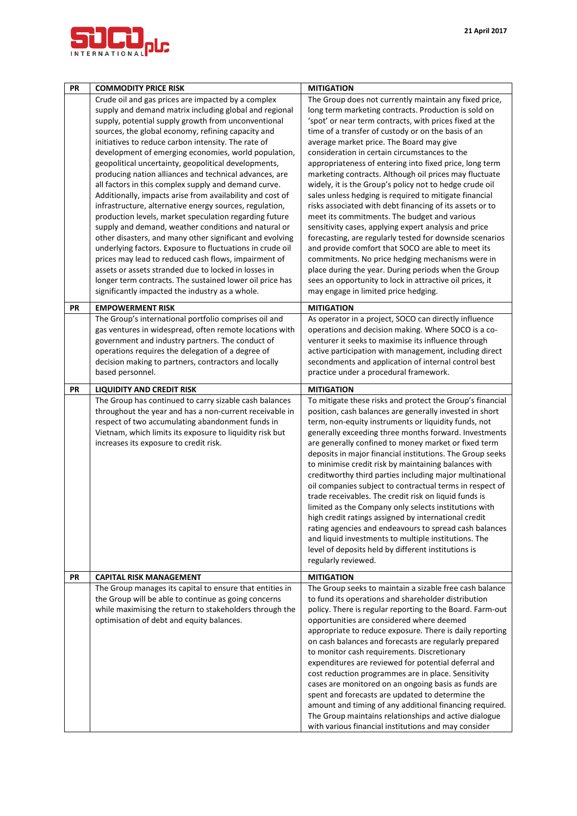

| PR | <b>COMMODITY PRICE RISK</b>                                                                                                                                                                                                                                                                                                                                                                                                                                                                                                                                                                                                                                                                                                                                                                                                                                                           | <b>MITIGATION</b>                                                                                                                                                                                                                                                                                                                                                                                                                                                                                                                                                                                                                                                                                                                                                                                                                                                                                                    |  |  |
|----|---------------------------------------------------------------------------------------------------------------------------------------------------------------------------------------------------------------------------------------------------------------------------------------------------------------------------------------------------------------------------------------------------------------------------------------------------------------------------------------------------------------------------------------------------------------------------------------------------------------------------------------------------------------------------------------------------------------------------------------------------------------------------------------------------------------------------------------------------------------------------------------|----------------------------------------------------------------------------------------------------------------------------------------------------------------------------------------------------------------------------------------------------------------------------------------------------------------------------------------------------------------------------------------------------------------------------------------------------------------------------------------------------------------------------------------------------------------------------------------------------------------------------------------------------------------------------------------------------------------------------------------------------------------------------------------------------------------------------------------------------------------------------------------------------------------------|--|--|
|    | Crude oil and gas prices are impacted by a complex<br>supply and demand matrix including global and regional<br>supply, potential supply growth from unconventional<br>sources, the global economy, refining capacity and<br>initiatives to reduce carbon intensity. The rate of<br>development of emerging economies, world population,<br>geopolitical uncertainty, geopolitical developments,<br>producing nation alliances and technical advances, are<br>all factors in this complex supply and demand curve.<br>Additionally, impacts arise from availability and cost of<br>infrastructure, alternative energy sources, regulation,<br>production levels, market speculation regarding future<br>supply and demand, weather conditions and natural or<br>other disasters, and many other significant and evolving<br>underlying factors. Exposure to fluctuations in crude oil | The Group does not currently maintain any fixed price,<br>long term marketing contracts. Production is sold on<br>'spot' or near term contracts, with prices fixed at the<br>time of a transfer of custody or on the basis of an<br>average market price. The Board may give<br>consideration in certain circumstances to the<br>appropriateness of entering into fixed price, long term<br>marketing contracts. Although oil prices may fluctuate<br>widely, it is the Group's policy not to hedge crude oil<br>sales unless hedging is required to mitigate financial<br>risks associated with debt financing of its assets or to<br>meet its commitments. The budget and various<br>sensitivity cases, applying expert analysis and price<br>forecasting, are regularly tested for downside scenarios                                                                                                             |  |  |
|    | prices may lead to reduced cash flows, impairment of<br>assets or assets stranded due to locked in losses in<br>longer term contracts. The sustained lower oil price has<br>significantly impacted the industry as a whole.                                                                                                                                                                                                                                                                                                                                                                                                                                                                                                                                                                                                                                                           | and provide comfort that SOCO are able to meet its<br>commitments. No price hedging mechanisms were in<br>place during the year. During periods when the Group<br>sees an opportunity to lock in attractive oil prices, it<br>may engage in limited price hedging.                                                                                                                                                                                                                                                                                                                                                                                                                                                                                                                                                                                                                                                   |  |  |
| PR | <b>EMPOWERMENT RISK</b>                                                                                                                                                                                                                                                                                                                                                                                                                                                                                                                                                                                                                                                                                                                                                                                                                                                               | <b>MITIGATION</b>                                                                                                                                                                                                                                                                                                                                                                                                                                                                                                                                                                                                                                                                                                                                                                                                                                                                                                    |  |  |
|    | The Group's international portfolio comprises oil and<br>gas ventures in widespread, often remote locations with<br>government and industry partners. The conduct of<br>operations requires the delegation of a degree of<br>decision making to partners, contractors and locally<br>based personnel.                                                                                                                                                                                                                                                                                                                                                                                                                                                                                                                                                                                 | As operator in a project, SOCO can directly influence<br>operations and decision making. Where SOCO is a co-<br>venturer it seeks to maximise its influence through<br>active participation with management, including direct<br>secondments and application of internal control best<br>practice under a procedural framework.                                                                                                                                                                                                                                                                                                                                                                                                                                                                                                                                                                                      |  |  |
| PR | <b>LIQUIDITY AND CREDIT RISK</b>                                                                                                                                                                                                                                                                                                                                                                                                                                                                                                                                                                                                                                                                                                                                                                                                                                                      | <b>MITIGATION</b>                                                                                                                                                                                                                                                                                                                                                                                                                                                                                                                                                                                                                                                                                                                                                                                                                                                                                                    |  |  |
|    | The Group has continued to carry sizable cash balances<br>throughout the year and has a non-current receivable in<br>respect of two accumulating abandonment funds in<br>Vietnam, which limits its exposure to liquidity risk but<br>increases its exposure to credit risk.                                                                                                                                                                                                                                                                                                                                                                                                                                                                                                                                                                                                           | To mitigate these risks and protect the Group's financial<br>position, cash balances are generally invested in short<br>term, non-equity instruments or liquidity funds, not<br>generally exceeding three months forward. Investments<br>are generally confined to money market or fixed term<br>deposits in major financial institutions. The Group seeks<br>to minimise credit risk by maintaining balances with<br>creditworthy third parties including major multinational<br>oil companies subject to contractual terms in respect of<br>trade receivables. The credit risk on liquid funds is<br>limited as the Company only selects institutions with<br>high credit ratings assigned by international credit<br>rating agencies and endeavours to spread cash balances<br>and liquid investments to multiple institutions. The<br>level of deposits held by different institutions is<br>regularly reviewed. |  |  |
| PR | <b>CAPITAL RISK MANAGEMENT</b>                                                                                                                                                                                                                                                                                                                                                                                                                                                                                                                                                                                                                                                                                                                                                                                                                                                        | <b>MITIGATION</b>                                                                                                                                                                                                                                                                                                                                                                                                                                                                                                                                                                                                                                                                                                                                                                                                                                                                                                    |  |  |
|    | The Group manages its capital to ensure that entities in<br>the Group will be able to continue as going concerns<br>while maximising the return to stakeholders through the<br>optimisation of debt and equity balances.                                                                                                                                                                                                                                                                                                                                                                                                                                                                                                                                                                                                                                                              | The Group seeks to maintain a sizable free cash balance<br>to fund its operations and shareholder distribution<br>policy. There is regular reporting to the Board. Farm-out<br>opportunities are considered where deemed<br>appropriate to reduce exposure. There is daily reporting<br>on cash balances and forecasts are regularly prepared<br>to monitor cash requirements. Discretionary<br>expenditures are reviewed for potential deferral and<br>cost reduction programmes are in place. Sensitivity<br>cases are monitored on an ongoing basis as funds are<br>spent and forecasts are updated to determine the<br>amount and timing of any additional financing required.<br>The Group maintains relationships and active dialogue<br>with various financial institutions and may consider                                                                                                                  |  |  |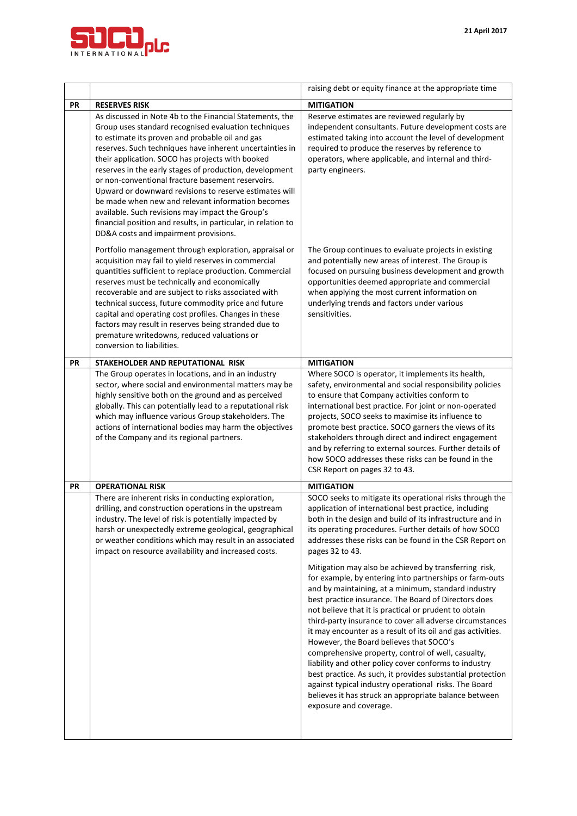

|           |                                                                                                                                                                                                                                                                                                                                                                                                                                                                                                                                                                                                                                                                                  | raising debt or equity finance at the appropriate time                                                                                                                                                                                                                                                                                                                                                                                                                                                                                                                                                                                                                                                                                                                                                                                                                                                                                                                                                                                                                                                           |  |
|-----------|----------------------------------------------------------------------------------------------------------------------------------------------------------------------------------------------------------------------------------------------------------------------------------------------------------------------------------------------------------------------------------------------------------------------------------------------------------------------------------------------------------------------------------------------------------------------------------------------------------------------------------------------------------------------------------|------------------------------------------------------------------------------------------------------------------------------------------------------------------------------------------------------------------------------------------------------------------------------------------------------------------------------------------------------------------------------------------------------------------------------------------------------------------------------------------------------------------------------------------------------------------------------------------------------------------------------------------------------------------------------------------------------------------------------------------------------------------------------------------------------------------------------------------------------------------------------------------------------------------------------------------------------------------------------------------------------------------------------------------------------------------------------------------------------------------|--|
| PR        | <b>RESERVES RISK</b>                                                                                                                                                                                                                                                                                                                                                                                                                                                                                                                                                                                                                                                             | <b>MITIGATION</b>                                                                                                                                                                                                                                                                                                                                                                                                                                                                                                                                                                                                                                                                                                                                                                                                                                                                                                                                                                                                                                                                                                |  |
|           | As discussed in Note 4b to the Financial Statements, the<br>Group uses standard recognised evaluation techniques<br>to estimate its proven and probable oil and gas<br>reserves. Such techniques have inherent uncertainties in<br>their application. SOCO has projects with booked<br>reserves in the early stages of production, development<br>or non-conventional fracture basement reservoirs.<br>Upward or downward revisions to reserve estimates will<br>be made when new and relevant information becomes<br>available. Such revisions may impact the Group's<br>financial position and results, in particular, in relation to<br>DD&A costs and impairment provisions. | Reserve estimates are reviewed regularly by<br>independent consultants. Future development costs are<br>estimated taking into account the level of development<br>required to produce the reserves by reference to<br>operators, where applicable, and internal and third-<br>party engineers.                                                                                                                                                                                                                                                                                                                                                                                                                                                                                                                                                                                                                                                                                                                                                                                                                   |  |
|           | Portfolio management through exploration, appraisal or<br>acquisition may fail to yield reserves in commercial<br>quantities sufficient to replace production. Commercial<br>reserves must be technically and economically<br>recoverable and are subject to risks associated with<br>technical success, future commodity price and future<br>capital and operating cost profiles. Changes in these<br>factors may result in reserves being stranded due to<br>premature writedowns, reduced valuations or<br>conversion to liabilities.                                                                                                                                         | The Group continues to evaluate projects in existing<br>and potentially new areas of interest. The Group is<br>focused on pursuing business development and growth<br>opportunities deemed appropriate and commercial<br>when applying the most current information on<br>underlying trends and factors under various<br>sensitivities.                                                                                                                                                                                                                                                                                                                                                                                                                                                                                                                                                                                                                                                                                                                                                                          |  |
| PR        | STAKEHOLDER AND REPUTATIONAL RISK                                                                                                                                                                                                                                                                                                                                                                                                                                                                                                                                                                                                                                                | <b>MITIGATION</b>                                                                                                                                                                                                                                                                                                                                                                                                                                                                                                                                                                                                                                                                                                                                                                                                                                                                                                                                                                                                                                                                                                |  |
|           | The Group operates in locations, and in an industry<br>sector, where social and environmental matters may be<br>highly sensitive both on the ground and as perceived<br>globally. This can potentially lead to a reputational risk<br>which may influence various Group stakeholders. The<br>actions of international bodies may harm the objectives<br>of the Company and its regional partners.                                                                                                                                                                                                                                                                                | Where SOCO is operator, it implements its health,<br>safety, environmental and social responsibility policies<br>to ensure that Company activities conform to<br>international best practice. For joint or non-operated<br>projects, SOCO seeks to maximise its influence to<br>promote best practice. SOCO garners the views of its<br>stakeholders through direct and indirect engagement<br>and by referring to external sources. Further details of<br>how SOCO addresses these risks can be found in the<br>CSR Report on pages 32 to 43.                                                                                                                                                                                                                                                                                                                                                                                                                                                                                                                                                                   |  |
| <b>PR</b> | <b>OPERATIONAL RISK</b>                                                                                                                                                                                                                                                                                                                                                                                                                                                                                                                                                                                                                                                          | <b>MITIGATION</b>                                                                                                                                                                                                                                                                                                                                                                                                                                                                                                                                                                                                                                                                                                                                                                                                                                                                                                                                                                                                                                                                                                |  |
|           | There are inherent risks in conducting exploration,<br>drilling, and construction operations in the upstream<br>industry. The level of risk is potentially impacted by<br>harsh or unexpectedly extreme geological, geographical<br>or weather conditions which may result in an associated<br>impact on resource availability and increased costs.                                                                                                                                                                                                                                                                                                                              | SOCO seeks to mitigate its operational risks through the<br>application of international best practice, including<br>both in the design and build of its infrastructure and in<br>its operating procedures. Further details of how SOCO<br>addresses these risks can be found in the CSR Report on<br>pages 32 to 43.<br>Mitigation may also be achieved by transferring risk,<br>for example, by entering into partnerships or farm-outs<br>and by maintaining, at a minimum, standard industry<br>best practice insurance. The Board of Directors does<br>not believe that it is practical or prudent to obtain<br>third-party insurance to cover all adverse circumstances<br>it may encounter as a result of its oil and gas activities.<br>However, the Board believes that SOCO's<br>comprehensive property, control of well, casualty,<br>liability and other policy cover conforms to industry<br>best practice. As such, it provides substantial protection<br>against typical industry operational risks. The Board<br>believes it has struck an appropriate balance between<br>exposure and coverage. |  |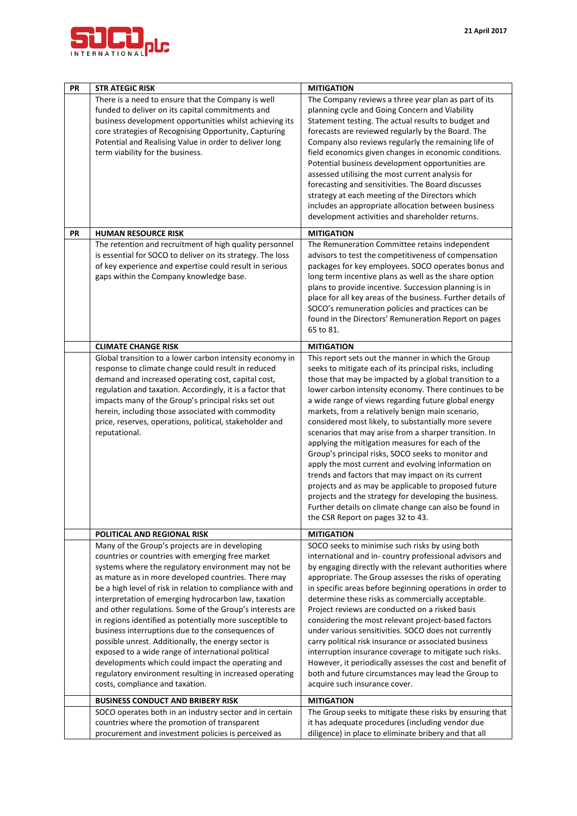

| PR        | <b>STR ATEGIC RISK</b>                                                                                                                                                                                                                                                                                                                                                                                                                                                                                                                                                                                                                                                                                                                                                              | <b>MITIGATION</b>                                                                                                                                                                                                                                                                                                                                                                                                                                                                                                                                                                                                                                                                                                                                                                                                                                                                                     |
|-----------|-------------------------------------------------------------------------------------------------------------------------------------------------------------------------------------------------------------------------------------------------------------------------------------------------------------------------------------------------------------------------------------------------------------------------------------------------------------------------------------------------------------------------------------------------------------------------------------------------------------------------------------------------------------------------------------------------------------------------------------------------------------------------------------|-------------------------------------------------------------------------------------------------------------------------------------------------------------------------------------------------------------------------------------------------------------------------------------------------------------------------------------------------------------------------------------------------------------------------------------------------------------------------------------------------------------------------------------------------------------------------------------------------------------------------------------------------------------------------------------------------------------------------------------------------------------------------------------------------------------------------------------------------------------------------------------------------------|
|           | There is a need to ensure that the Company is well<br>funded to deliver on its capital commitments and<br>business development opportunities whilst achieving its<br>core strategies of Recognising Opportunity, Capturing<br>Potential and Realising Value in order to deliver long<br>term viability for the business.                                                                                                                                                                                                                                                                                                                                                                                                                                                            | The Company reviews a three year plan as part of its<br>planning cycle and Going Concern and Viability<br>Statement testing. The actual results to budget and<br>forecasts are reviewed regularly by the Board. The<br>Company also reviews regularly the remaining life of<br>field economics given changes in economic conditions.<br>Potential business development opportunities are<br>assessed utilising the most current analysis for<br>forecasting and sensitivities. The Board discusses<br>strategy at each meeting of the Directors which<br>includes an appropriate allocation between business<br>development activities and shareholder returns.                                                                                                                                                                                                                                       |
| <b>PR</b> | <b>HUMAN RESOURCE RISK</b>                                                                                                                                                                                                                                                                                                                                                                                                                                                                                                                                                                                                                                                                                                                                                          | <b>MITIGATION</b>                                                                                                                                                                                                                                                                                                                                                                                                                                                                                                                                                                                                                                                                                                                                                                                                                                                                                     |
|           | The retention and recruitment of high quality personnel<br>is essential for SOCO to deliver on its strategy. The loss<br>of key experience and expertise could result in serious<br>gaps within the Company knowledge base.                                                                                                                                                                                                                                                                                                                                                                                                                                                                                                                                                         | The Remuneration Committee retains independent<br>advisors to test the competitiveness of compensation<br>packages for key employees. SOCO operates bonus and<br>long term incentive plans as well as the share option<br>plans to provide incentive. Succession planning is in<br>place for all key areas of the business. Further details of<br>SOCO's remuneration policies and practices can be<br>found in the Directors' Remuneration Report on pages<br>65 to 81.                                                                                                                                                                                                                                                                                                                                                                                                                              |
|           | <b>CLIMATE CHANGE RISK</b>                                                                                                                                                                                                                                                                                                                                                                                                                                                                                                                                                                                                                                                                                                                                                          | <b>MITIGATION</b>                                                                                                                                                                                                                                                                                                                                                                                                                                                                                                                                                                                                                                                                                                                                                                                                                                                                                     |
|           | Global transition to a lower carbon intensity economy in<br>response to climate change could result in reduced<br>demand and increased operating cost, capital cost,<br>regulation and taxation. Accordingly, it is a factor that<br>impacts many of the Group's principal risks set out<br>herein, including those associated with commodity<br>price, reserves, operations, political, stakeholder and<br>reputational.                                                                                                                                                                                                                                                                                                                                                           | This report sets out the manner in which the Group<br>seeks to mitigate each of its principal risks, including<br>those that may be impacted by a global transition to a<br>lower carbon intensity economy. There continues to be<br>a wide range of views regarding future global energy<br>markets, from a relatively benign main scenario,<br>considered most likely, to substantially more severe<br>scenarios that may arise from a sharper transition. In<br>applying the mitigation measures for each of the<br>Group's principal risks, SOCO seeks to monitor and<br>apply the most current and evolving information on<br>trends and factors that may impact on its current<br>projects and as may be applicable to proposed future<br>projects and the strategy for developing the business.<br>Further details on climate change can also be found in<br>the CSR Report on pages 32 to 43. |
|           | POLITICAL AND REGIONAL RISK                                                                                                                                                                                                                                                                                                                                                                                                                                                                                                                                                                                                                                                                                                                                                         | <b>MITIGATION</b>                                                                                                                                                                                                                                                                                                                                                                                                                                                                                                                                                                                                                                                                                                                                                                                                                                                                                     |
|           | Many of the Group's projects are in developing<br>countries or countries with emerging free market<br>systems where the regulatory environment may not be<br>as mature as in more developed countries. There may<br>be a high level of risk in relation to compliance with and<br>interpretation of emerging hydrocarbon law, taxation<br>and other regulations. Some of the Group's interests are<br>in regions identified as potentially more susceptible to<br>business interruptions due to the consequences of<br>possible unrest. Additionally, the energy sector is<br>exposed to a wide range of international political<br>developments which could impact the operating and<br>regulatory environment resulting in increased operating<br>costs, compliance and taxation. | SOCO seeks to minimise such risks by using both<br>international and in-country professional advisors and<br>by engaging directly with the relevant authorities where<br>appropriate. The Group assesses the risks of operating<br>in specific areas before beginning operations in order to<br>determine these risks as commercially acceptable.<br>Project reviews are conducted on a risked basis<br>considering the most relevant project-based factors<br>under various sensitivities. SOCO does not currently<br>carry political risk insurance or associated business<br>interruption insurance coverage to mitigate such risks.<br>However, it periodically assesses the cost and benefit of<br>both and future circumstances may lead the Group to<br>acquire such insurance cover.                                                                                                          |
|           | <b>BUSINESS CONDUCT AND BRIBERY RISK</b>                                                                                                                                                                                                                                                                                                                                                                                                                                                                                                                                                                                                                                                                                                                                            | <b>MITIGATION</b>                                                                                                                                                                                                                                                                                                                                                                                                                                                                                                                                                                                                                                                                                                                                                                                                                                                                                     |
|           | SOCO operates both in an industry sector and in certain<br>countries where the promotion of transparent<br>procurement and investment policies is perceived as                                                                                                                                                                                                                                                                                                                                                                                                                                                                                                                                                                                                                      | The Group seeks to mitigate these risks by ensuring that<br>it has adequate procedures (including vendor due<br>diligence) in place to eliminate bribery and that all                                                                                                                                                                                                                                                                                                                                                                                                                                                                                                                                                                                                                                                                                                                                 |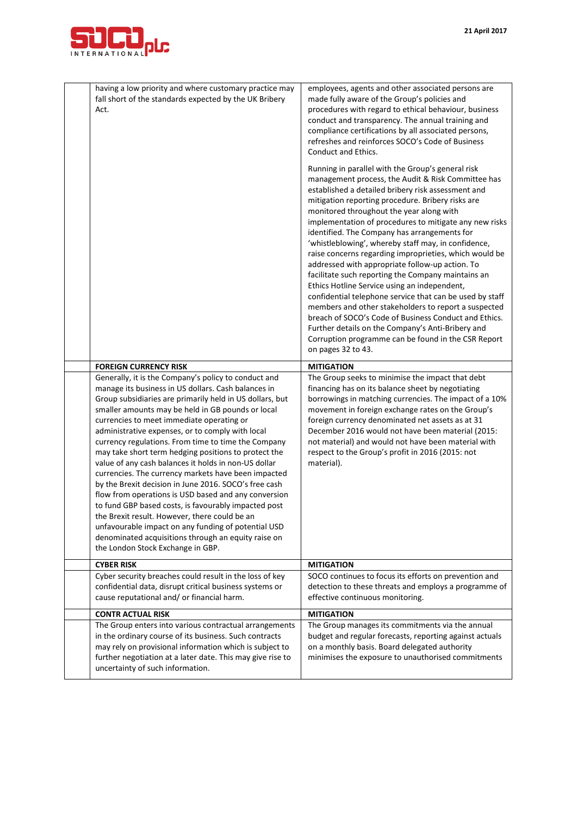

| having a low priority and where customary practice may<br>fall short of the standards expected by the UK Bribery<br>Act.                                                                                                                                                                                                                                                                                                                                                                                                                                                                                                                                                                                                                                                                                                                                                                                                                 | employees, agents and other associated persons are<br>made fully aware of the Group's policies and<br>procedures with regard to ethical behaviour, business<br>conduct and transparency. The annual training and<br>compliance certifications by all associated persons,<br>refreshes and reinforces SOCO's Code of Business<br><b>Conduct and Ethics.</b>                                                                                                                                                                                                                                                                                                                                                                                                                                                                                                                                                                                                        |
|------------------------------------------------------------------------------------------------------------------------------------------------------------------------------------------------------------------------------------------------------------------------------------------------------------------------------------------------------------------------------------------------------------------------------------------------------------------------------------------------------------------------------------------------------------------------------------------------------------------------------------------------------------------------------------------------------------------------------------------------------------------------------------------------------------------------------------------------------------------------------------------------------------------------------------------|-------------------------------------------------------------------------------------------------------------------------------------------------------------------------------------------------------------------------------------------------------------------------------------------------------------------------------------------------------------------------------------------------------------------------------------------------------------------------------------------------------------------------------------------------------------------------------------------------------------------------------------------------------------------------------------------------------------------------------------------------------------------------------------------------------------------------------------------------------------------------------------------------------------------------------------------------------------------|
|                                                                                                                                                                                                                                                                                                                                                                                                                                                                                                                                                                                                                                                                                                                                                                                                                                                                                                                                          | Running in parallel with the Group's general risk<br>management process, the Audit & Risk Committee has<br>established a detailed bribery risk assessment and<br>mitigation reporting procedure. Bribery risks are<br>monitored throughout the year along with<br>implementation of procedures to mitigate any new risks<br>identified. The Company has arrangements for<br>'whistleblowing', whereby staff may, in confidence,<br>raise concerns regarding improprieties, which would be<br>addressed with appropriate follow-up action. To<br>facilitate such reporting the Company maintains an<br>Ethics Hotline Service using an independent,<br>confidential telephone service that can be used by staff<br>members and other stakeholders to report a suspected<br>breach of SOCO's Code of Business Conduct and Ethics.<br>Further details on the Company's Anti-Bribery and<br>Corruption programme can be found in the CSR Report<br>on pages 32 to 43. |
| <b>FOREIGN CURRENCY RISK</b>                                                                                                                                                                                                                                                                                                                                                                                                                                                                                                                                                                                                                                                                                                                                                                                                                                                                                                             | <b>MITIGATION</b>                                                                                                                                                                                                                                                                                                                                                                                                                                                                                                                                                                                                                                                                                                                                                                                                                                                                                                                                                 |
| Generally, it is the Company's policy to conduct and<br>manage its business in US dollars. Cash balances in<br>Group subsidiaries are primarily held in US dollars, but<br>smaller amounts may be held in GB pounds or local<br>currencies to meet immediate operating or<br>administrative expenses, or to comply with local<br>currency regulations. From time to time the Company<br>may take short term hedging positions to protect the<br>value of any cash balances it holds in non-US dollar<br>currencies. The currency markets have been impacted<br>by the Brexit decision in June 2016. SOCO's free cash<br>flow from operations is USD based and any conversion<br>to fund GBP based costs, is favourably impacted post<br>the Brexit result. However, there could be an<br>unfavourable impact on any funding of potential USD<br>denominated acquisitions through an equity raise on<br>the London Stock Exchange in GBP. | The Group seeks to minimise the impact that debt<br>financing has on its balance sheet by negotiating<br>borrowings in matching currencies. The impact of a 10%<br>movement in foreign exchange rates on the Group's<br>foreign currency denominated net assets as at 31<br>December 2016 would not have been material (2015:<br>not material) and would not have been material with<br>respect to the Group's profit in 2016 (2015: not<br>material).                                                                                                                                                                                                                                                                                                                                                                                                                                                                                                            |
| <b>CYBER RISK</b>                                                                                                                                                                                                                                                                                                                                                                                                                                                                                                                                                                                                                                                                                                                                                                                                                                                                                                                        | <b>MITIGATION</b>                                                                                                                                                                                                                                                                                                                                                                                                                                                                                                                                                                                                                                                                                                                                                                                                                                                                                                                                                 |
| Cyber security breaches could result in the loss of key<br>confidential data, disrupt critical business systems or<br>cause reputational and/ or financial harm.                                                                                                                                                                                                                                                                                                                                                                                                                                                                                                                                                                                                                                                                                                                                                                         | SOCO continues to focus its efforts on prevention and<br>detection to these threats and employs a programme of<br>effective continuous monitoring.                                                                                                                                                                                                                                                                                                                                                                                                                                                                                                                                                                                                                                                                                                                                                                                                                |
| <b>CONTR ACTUAL RISK</b>                                                                                                                                                                                                                                                                                                                                                                                                                                                                                                                                                                                                                                                                                                                                                                                                                                                                                                                 | <b>MITIGATION</b>                                                                                                                                                                                                                                                                                                                                                                                                                                                                                                                                                                                                                                                                                                                                                                                                                                                                                                                                                 |
| The Group enters into various contractual arrangements<br>in the ordinary course of its business. Such contracts<br>may rely on provisional information which is subject to<br>further negotiation at a later date. This may give rise to<br>uncertainty of such information.                                                                                                                                                                                                                                                                                                                                                                                                                                                                                                                                                                                                                                                            | The Group manages its commitments via the annual<br>budget and regular forecasts, reporting against actuals<br>on a monthly basis. Board delegated authority<br>minimises the exposure to unauthorised commitments                                                                                                                                                                                                                                                                                                                                                                                                                                                                                                                                                                                                                                                                                                                                                |